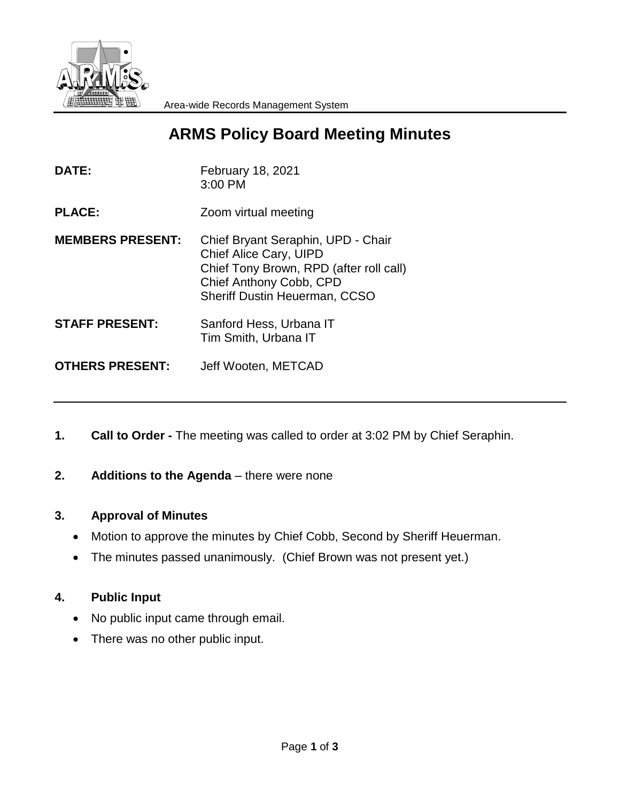

# **ARMS Policy Board Meeting Minutes**

| <b>February 18, 2021</b><br>3:00 PM                                                                                                                                        |
|----------------------------------------------------------------------------------------------------------------------------------------------------------------------------|
| Zoom virtual meeting                                                                                                                                                       |
| Chief Bryant Seraphin, UPD - Chair<br>Chief Alice Cary, UIPD<br>Chief Tony Brown, RPD (after roll call)<br>Chief Anthony Cobb, CPD<br><b>Sheriff Dustin Heuerman, CCSO</b> |
| Sanford Hess, Urbana IT<br>Tim Smith, Urbana IT                                                                                                                            |
| Jeff Wooten, METCAD                                                                                                                                                        |
|                                                                                                                                                                            |

- **1. Call to Order -** The meeting was called to order at 3:02 PM by Chief Seraphin.
- **2.** Additions to the Agenda there were none

#### **3. Approval of Minutes**

- Motion to approve the minutes by Chief Cobb, Second by Sheriff Heuerman.
- The minutes passed unanimously. (Chief Brown was not present yet.)

#### **4. Public Input**

- No public input came through email.
- There was no other public input.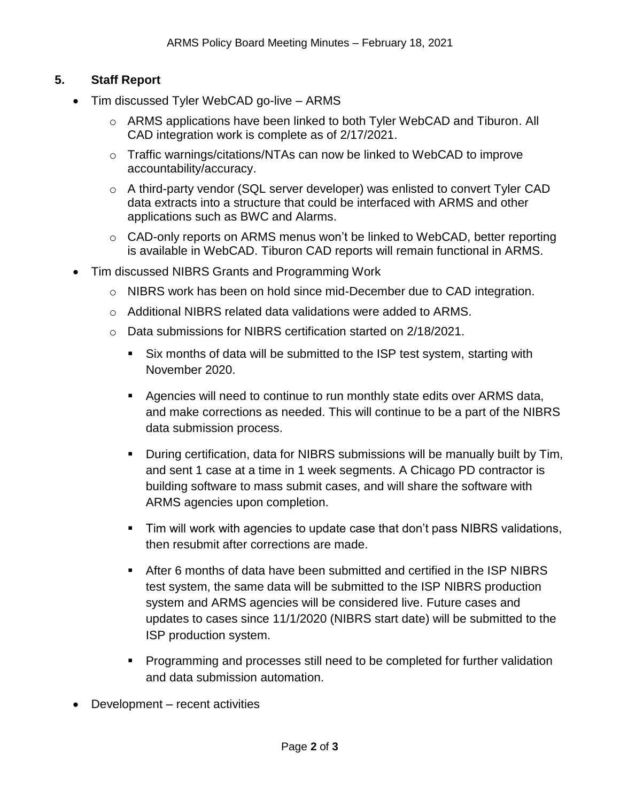## **5. Staff Report**

- Tim discussed Tyler WebCAD go-live ARMS
	- o ARMS applications have been linked to both Tyler WebCAD and Tiburon. All CAD integration work is complete as of 2/17/2021.
	- o Traffic warnings/citations/NTAs can now be linked to WebCAD to improve accountability/accuracy.
	- $\circ$  A third-party vendor (SQL server developer) was enlisted to convert Tyler CAD data extracts into a structure that could be interfaced with ARMS and other applications such as BWC and Alarms.
	- o CAD-only reports on ARMS menus won't be linked to WebCAD, better reporting is available in WebCAD. Tiburon CAD reports will remain functional in ARMS.
- Tim discussed NIBRS Grants and Programming Work
	- o NIBRS work has been on hold since mid-December due to CAD integration.
	- o Additional NIBRS related data validations were added to ARMS.
	- o Data submissions for NIBRS certification started on 2/18/2021.
		- Six months of data will be submitted to the ISP test system, starting with November 2020.
		- Agencies will need to continue to run monthly state edits over ARMS data, and make corrections as needed. This will continue to be a part of the NIBRS data submission process.
		- During certification, data for NIBRS submissions will be manually built by Tim, and sent 1 case at a time in 1 week segments. A Chicago PD contractor is building software to mass submit cases, and will share the software with ARMS agencies upon completion.
		- **Tim will work with agencies to update case that don't pass NIBRS validations,** then resubmit after corrections are made.
		- After 6 months of data have been submitted and certified in the ISP NIBRS test system, the same data will be submitted to the ISP NIBRS production system and ARMS agencies will be considered live. Future cases and updates to cases since 11/1/2020 (NIBRS start date) will be submitted to the ISP production system.
		- **Programming and processes still need to be completed for further validation** and data submission automation.
- Development recent activities